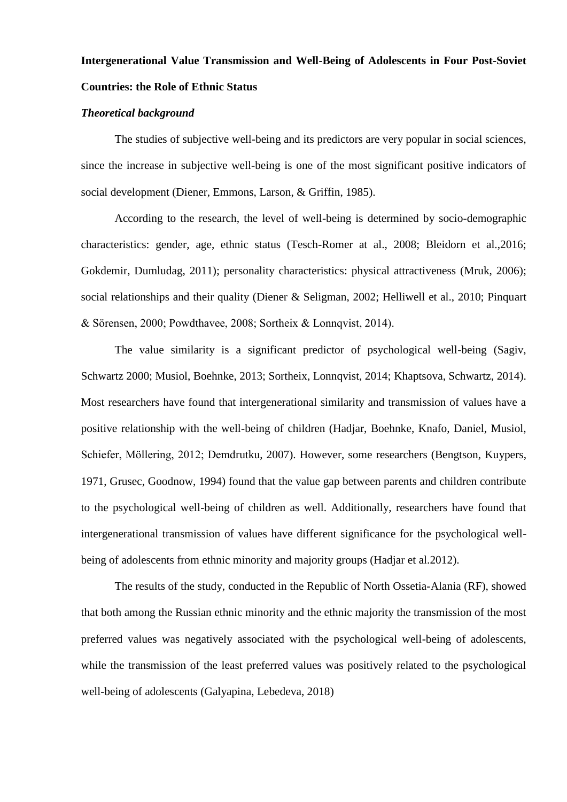# **Intergenerational Value Transmission and Well-Being of Adolescents in Four Post-Soviet Countries: the Role of Ethnic Status**

## *Theoretical background*

The studies of subjective well-being and its predictors are very popular in social sciences, since the increase in subjective well-being is one of the most significant positive indicators of social development (Diener, Emmons, Larson, & Griffin, 1985).

According to the research, the level of well-being is determined by socio-demographic characteristics: gender, age, ethnic status (Tesch-Romer at al., 2008; Bleidorn et al.,2016; Gokdemir, Dumludag, 2011); personality characteristics: physical attractiveness (Mruk, 2006); social relationships and their quality (Diener & Seligman, 2002; Helliwell et al., 2010; Pinquart & Sörensen, 2000; Powdthavee, 2008; Sortheix & Lonnqvist, 2014).

The value similarity is a significant predictor of psychological well-being (Sagiv, Schwartz 2000; Musiol, Boehnke, 2013; Sortheix, Lonnqvist, 2014; Khaptsova, Schwartz, 2014). Most researchers have found that intergenerational similarity and transmission of values have a positive relationship with the well-being of children (Hadjar, Boehnke, Knafo, Daniel, Musiol, Schiefer, Möllering, 2012; Demđrutku, 2007). However, some researchers (Bengtson, Kuypers, 1971, Grusec, Goodnow, 1994) found that the value gap between parents and children contribute to the psychological well-being of children as well. Additionally, researchers have found that intergenerational transmission of values have different significance for the psychological wellbeing of adolescents from ethnic minority and majority groups (Hadjar et al.2012).

The results of the study, conducted in the Republic of North Ossetia-Alania (RF), showed that both among the Russian ethnic minority and the ethnic majority the transmission of the most preferred values was negatively associated with the psychological well-being of adolescents, while the transmission of the least preferred values was positively related to the psychological well-being of adolescents (Galyapina, Lebedeva, 2018)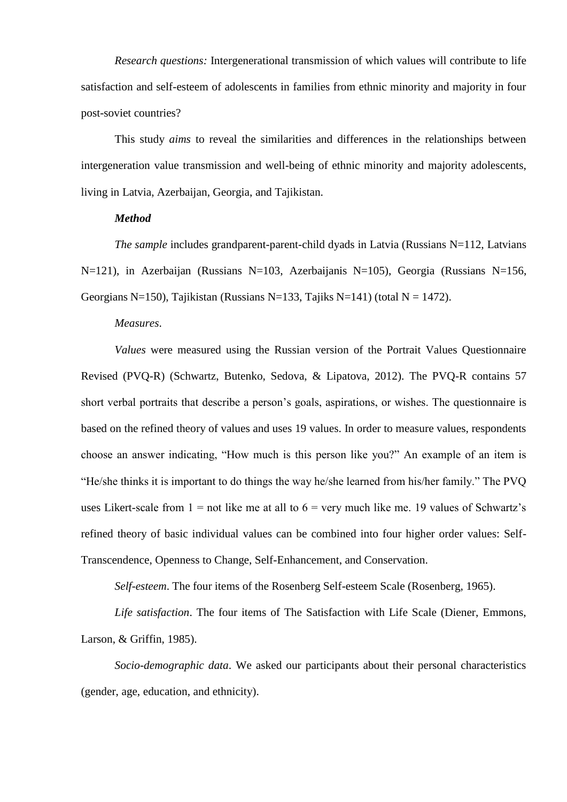*Research questions:* Intergenerational transmission of which values will contribute to life satisfaction and self-esteem of adolescents in families from ethnic minority and majority in four post-soviet countries?

This study *aims* to reveal the similarities and differences in the relationships between intergeneration value transmission and well-being of ethnic minority and majority adolescents, living in Latvia, Azerbaijan, Georgia, and Tajikistan.

### *Method*

*The sample* includes grandparent-parent-child dyads in Latvia (Russians N=112, Latvians N=121), in Azerbaijan (Russians N=103, Azerbaijanis N=105), Georgia (Russians N=156, Georgians N=150), Tajikistan (Russians N=133, Tajiks N=141) (total N = 1472).

#### *Measures*.

*Values* were measured using the Russian version of the Portrait Values Questionnaire Revised (PVQ-R) (Schwartz, Butenko, Sedova, & Lipatova, 2012). The PVQ-R contains 57 short verbal portraits that describe a person's goals, aspirations, or wishes. The questionnaire is based on the refined theory of values and uses 19 values. In order to measure values, respondents choose an answer indicating, "How much is this person like you?" An example of an item is "He/she thinks it is important to do things the way he/she learned from his/her family." The PVQ uses Likert-scale from  $1 =$  not like me at all to  $6 =$  very much like me. 19 values of Schwartz's refined theory of basic individual values can be combined into four higher order values: Self-Transcendence, Openness to Change, Self-Enhancement, and Conservation.

*Self-esteem*. The four items of the Rosenberg Self-esteem Scale (Rosenberg, 1965).

*Life satisfaction*. The four items of The Satisfaction with Life Scale (Diener, Emmons, Larson, & Griffin, 1985).

*Socio-demographic data*. We asked our participants about their personal characteristics (gender, age, education, and ethnicity).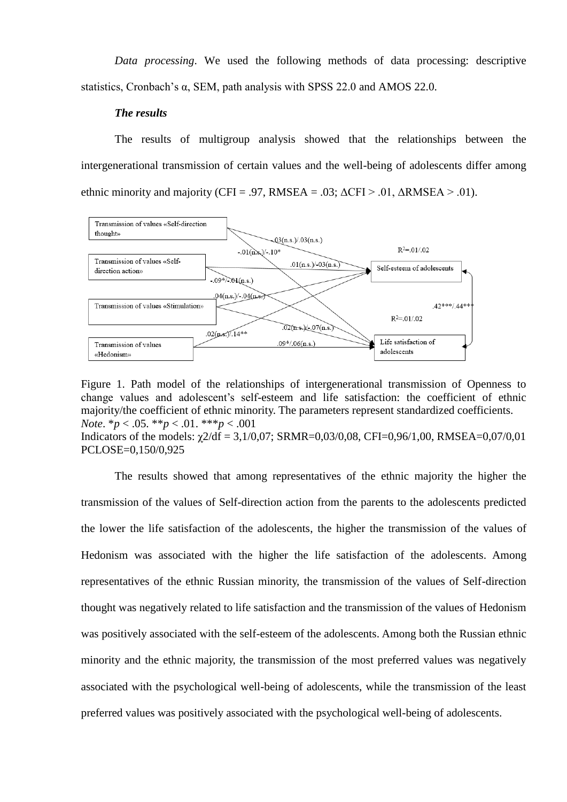*Data processing*. We used the following methods of data processing: descriptive statistics, Cronbach's α, SEM, path analysis with SPSS 22.0 and AMOS 22.0.

# *The results*

The results of multigroup analysis showed that the relationships between the intergenerational transmission of certain values and the well-being of adolescents differ among ethnic minority and majority (CFI = .97, RMSEA = .03;  $\Delta$ CFI > .01,  $\Delta$ RMSEA > .01).



Figure 1. Path model of the relationships of intergenerational transmission of Openness to change values and adolescent's self-esteem and life satisfaction: the coefficient of ethnic majority/the coefficient of ethnic minority. The parameters represent standardized coefficients. *Note*. \**p* < .05. \*\**p* < .01. \*\*\**p* < .001 Indicators of the models:  $\chi$ 2/df = 3,1/0,07; SRMR=0,03/0,08, CFI=0,96/1,00, RMSEA=0,07/0,01 PCLOSE=0,150/0,925

The results showed that among representatives of the ethnic majority the higher the transmission of the values of Self-direction action from the parents to the adolescents predicted the lower the life satisfaction of the adolescents, the higher the transmission of the values of Hedonism was associated with the higher the life satisfaction of the adolescents. Among representatives of the ethnic Russian minority, the transmission of the values of Self-direction thought was negatively related to life satisfaction and the transmission of the values of Hedonism was positively associated with the self-esteem of the adolescents. Among both the Russian ethnic minority and the ethnic majority, the transmission of the most preferred values was negatively associated with the psychological well-being of adolescents, while the transmission of the least preferred values was positively associated with the psychological well-being of adolescents.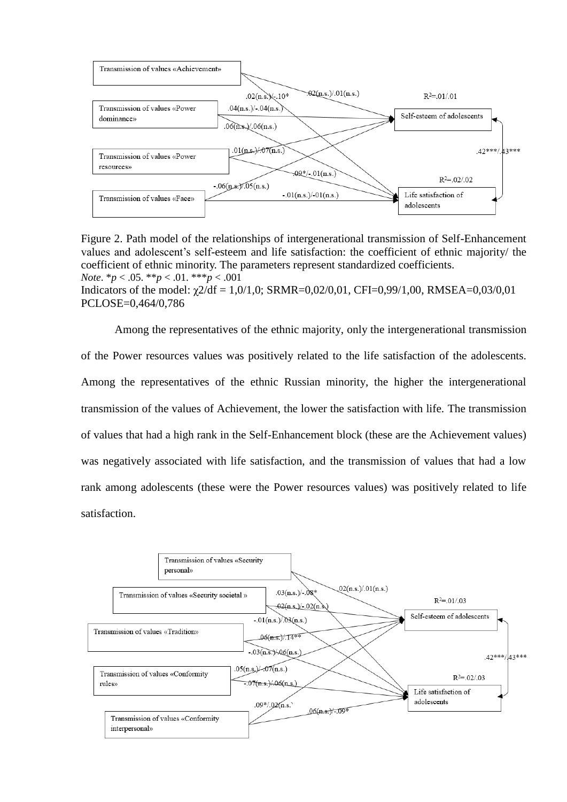

Figure 2. Path model of the relationships of intergenerational transmission of Self-Enhancement values and adolescent's self-esteem and life satisfaction: the coefficient of ethnic majority/ the coefficient of ethnic minority. The parameters represent standardized coefficients. *Note*. \**p* < .05. \*\**p* < .01. \*\*\**p* < .001 Indicators of the model:  $\chi$ 2/df = 1,0/1,0; SRMR=0,02/0,01, CFI=0,99/1,00, RMSEA=0,03/0,01 PCLOSE=0,464/0,786

Among the representatives of the ethnic majority, only the intergenerational transmission of the Power resources values was positively related to the life satisfaction of the adolescents. Among the representatives of the ethnic Russian minority, the higher the intergenerational transmission of the values of Achievement, the lower the satisfaction with life. The transmission of values that had a high rank in the Self-Enhancement block (these are the Achievement values) was negatively associated with life satisfaction, and the transmission of values that had a low rank among adolescents (these were the Power resources values) was positively related to life satisfaction.

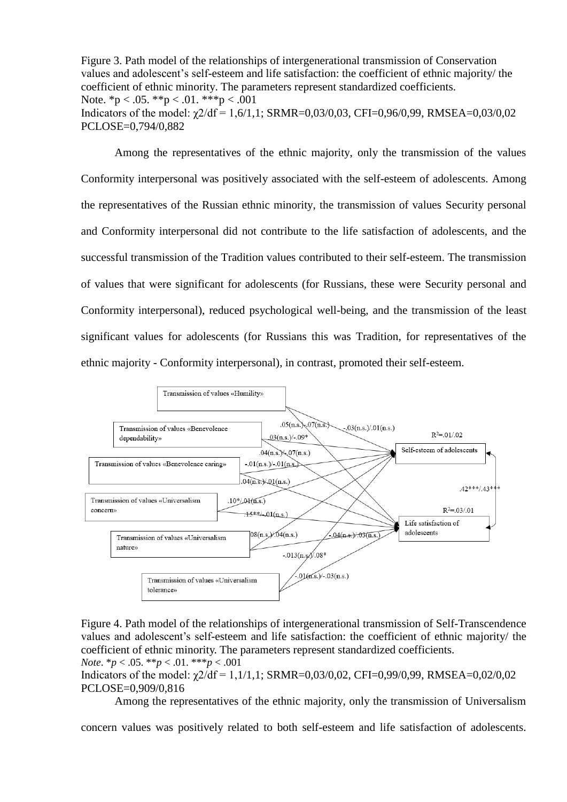Figure 3. Path model of the relationships of intergenerational transmission of Conservation values and adolescent's self-esteem and life satisfaction: the coefficient of ethnic majority/ the coefficient of ethnic minority. The parameters represent standardized coefficients. Note.  ${}^*p < .05.$   ${}^{**}p < .01.$   ${}^{***}p < .001$ Indicators of the model:  $\gamma$ 2/df = 1,6/1,1; SRMR=0,03/0,03, CFI=0,96/0,99, RMSEA=0,03/0,02 PCLOSE=0,794/0,882

Among the representatives of the ethnic majority, only the transmission of the values Conformity interpersonal was positively associated with the self-esteem of adolescents. Among the representatives of the Russian ethnic minority, the transmission of values Security personal and Conformity interpersonal did not contribute to the life satisfaction of adolescents, and the successful transmission of the Tradition values contributed to their self-esteem. The transmission of values that were significant for adolescents (for Russians, these were Security personal and Conformity interpersonal), reduced psychological well-being, and the transmission of the least significant values for adolescents (for Russians this was Tradition, for representatives of the ethnic majority - Conformity interpersonal), in contrast, promoted their self-esteem.



Figure 4. Path model of the relationships of intergenerational transmission of Self-Transcendence values and adolescent's self-esteem and life satisfaction: the coefficient of ethnic majority/ the coefficient of ethnic minority. The parameters represent standardized coefficients. *Note*. \**p* < .05. \*\**p* < .01. \*\*\**p* < .001

Indicators of the model:  $\gamma$ 2/df = 1,1/1,1; SRMR=0,03/0,02, CFI=0,99/0,99, RMSEA=0,02/0,02 PCLOSE=0,909/0,816

Among the representatives of the ethnic majority, only the transmission of Universalism

concern values was positively related to both self-esteem and life satisfaction of adolescents.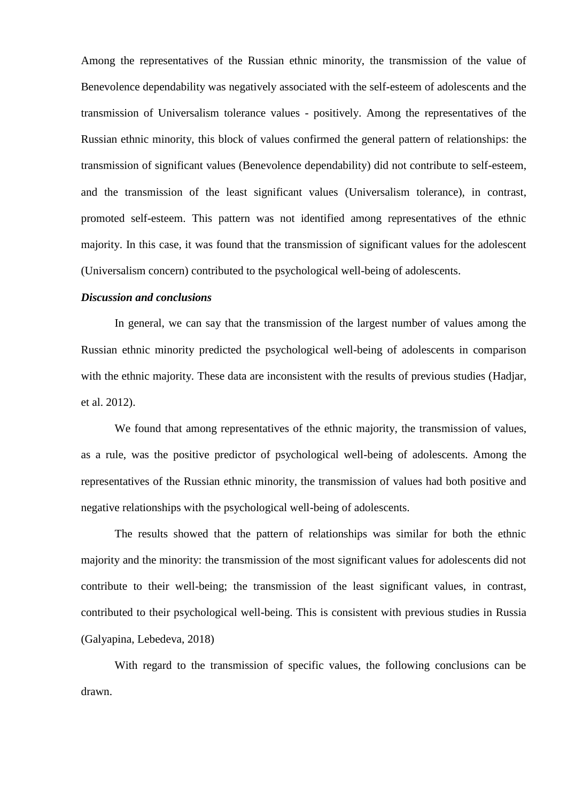Among the representatives of the Russian ethnic minority, the transmission of the value of Benevolence dependability was negatively associated with the self-esteem of adolescents and the transmission of Universalism tolerance values - positively. Among the representatives of the Russian ethnic minority, this block of values confirmed the general pattern of relationships: the transmission of significant values (Benevolence dependability) did not contribute to self-esteem, and the transmission of the least significant values (Universalism tolerance), in contrast, promoted self-esteem. This pattern was not identified among representatives of the ethnic majority. In this case, it was found that the transmission of significant values for the adolescent (Universalism concern) contributed to the psychological well-being of adolescents.

# *Discussion and conclusions*

In general, we can say that the transmission of the largest number of values among the Russian ethnic minority predicted the psychological well-being of adolescents in comparison with the ethnic majority. These data are inconsistent with the results of previous studies (Hadjar, et al. 2012).

We found that among representatives of the ethnic majority, the transmission of values, as a rule, was the positive predictor of psychological well-being of adolescents. Among the representatives of the Russian ethnic minority, the transmission of values had both positive and negative relationships with the psychological well-being of adolescents.

The results showed that the pattern of relationships was similar for both the ethnic majority and the minority: the transmission of the most significant values for adolescents did not contribute to their well-being; the transmission of the least significant values, in contrast, contributed to their psychological well-being. This is consistent with previous studies in Russia (Galyapina, Lebedeva, 2018)

With regard to the transmission of specific values, the following conclusions can be drawn.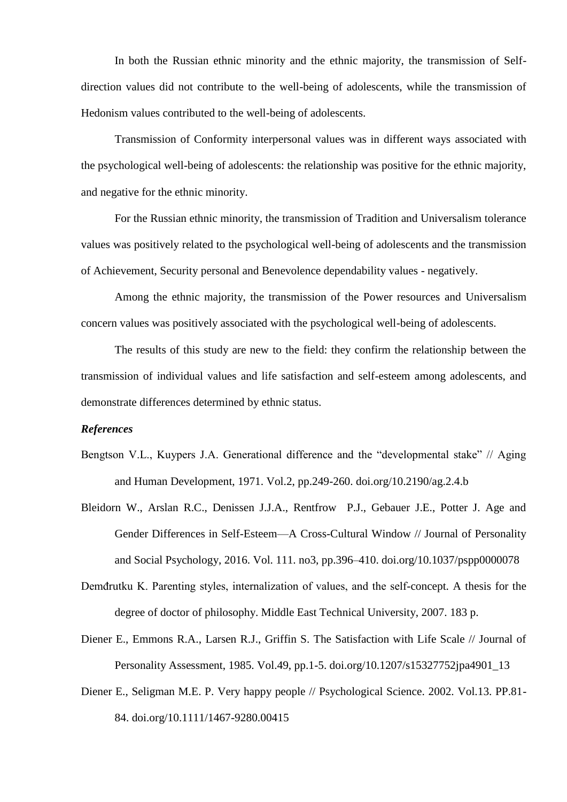In both the Russian ethnic minority and the ethnic majority, the transmission of Selfdirection values did not contribute to the well-being of adolescents, while the transmission of Hedonism values contributed to the well-being of adolescents.

Transmission of Conformity interpersonal values was in different ways associated with the psychological well-being of adolescents: the relationship was positive for the ethnic majority, and negative for the ethnic minority.

For the Russian ethnic minority, the transmission of Tradition and Universalism tolerance values was positively related to the psychological well-being of adolescents and the transmission of Achievement, Security personal and Benevolence dependability values - negatively.

Among the ethnic majority, the transmission of the Power resources and Universalism concern values was positively associated with the psychological well-being of adolescents.

The results of this study are new to the field: they confirm the relationship between the transmission of individual values and life satisfaction and self-esteem among adolescents, and demonstrate differences determined by ethnic status.

## *References*

- Bengtson V.L., Kuypers J.A. Generational difference and the "developmental stake" // Aging and Human Development, 1971. Vol.2, pp.249-260. doi.org/10.2190/ag.2.4.b
- Bleidorn W., Arslan R.C., Denissen J.J.A., Rentfrow P.J., Gebauer J.E., Potter J. Age and Gender Differences in Self-Esteem—A Cross-Cultural Window // Journal of Personality and Social Psychology, 2016. Vol. 111. no3, pp.396–410. doi.org/10.1037/pspp0000078
- Demđrutku K. Parenting styles, internalization of values, and the self-concept. A thesis for the degree of doctor of philosophy. Middle East Technical University, 2007. 183 p.
- Diener E., Emmons R.A., Larsen R.J., Griffin S. The Satisfaction with Life Scale // Journal of Personality Assessment, 1985. Vol.49, pp.1-5. doi.org/10.1207/s15327752jpa4901\_13
- Diener E., Seligman M.E. P. Very happy people // Psychological Science. 2002. Vol.13. PP.81- 84. doi.org/10.1111/1467-9280.00415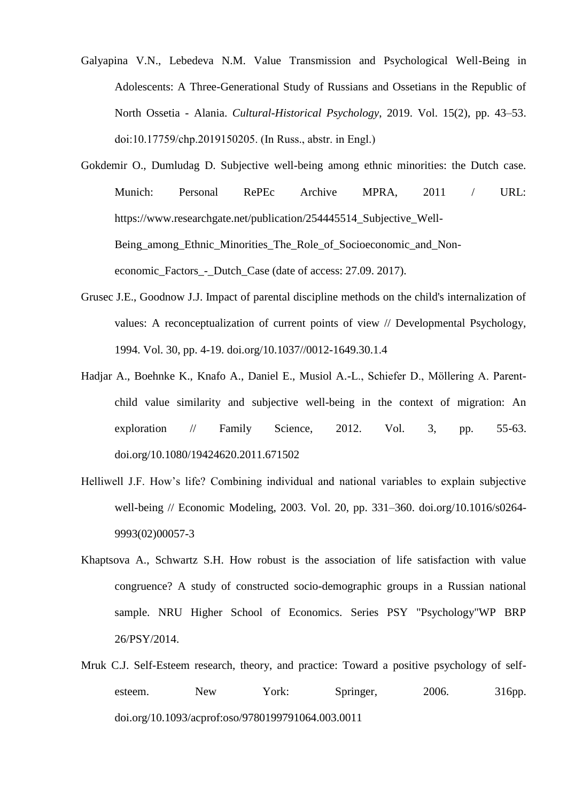- Galyapina V.N., Lebedeva N.M. Value Transmission and Psychological Well-Being in Adolescents: A Three-Generational Study of Russians and Ossetians in the Republic of North Ossetia - Alania. *Cultural-Historical Psychology*, 2019. Vol. 15(2), pp. 43–53. doi:10.17759/chp.2019150205. (In Russ., аbstr. in Engl.)
- Gokdemir O., Dumludag D. Subjective well-being among ethnic minorities: the Dutch case. Munich: Personal RePEc Archive MPRA, 2011 / URL: https://www.researchgate.net/publication/254445514\_Subjective\_Well-Being\_among\_Ethnic\_Minorities\_The\_Role\_of\_Socioeconomic\_and\_Noneconomic\_Factors\_-\_Dutch\_Case (date of access: 27.09. 2017).
- Grusec J.E., Goodnow J.J. Impact of parental discipline methods on the child's internalization of values: A reconceptualization of current points of view // Developmental Psychology, 1994. Vol. 30, pp. 4-19. doi.org/10.1037//0012-1649.30.1.4
- Hadjar A., Boehnke K., Knafo A., Daniel E., Musiol A.-L., Schiefer D., Möllering A. Parentchild value similarity and subjective well-being in the context of migration: An exploration // Family Science, 2012. Vol. 3, pp. 55-63. doi.org/10.1080/19424620.2011.671502
- Helliwell J.F. How's life? Combining individual and national variables to explain subjective well-being // Economic Modeling, 2003. Vol. 20, pp. 331–360. doi.org/10.1016/s0264- 9993(02)00057-3
- Khaptsova A., Schwartz S.H. How robust is the association of life satisfaction with value congruence? A study of constructed socio-demographic groups in a Russian national sample. NRU Higher School of Economics. Series PSY "Psychology"WP BRP 26/PSY/2014.
- Mruk C.J. Self-Esteem research, theory, and practice: Toward a positive psychology of selfesteem. New York: Springer, 2006. 316pp. doi.org/10.1093/acprof:oso/9780199791064.003.0011